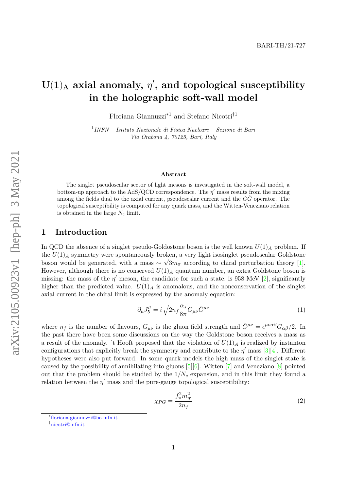# $U(1)$ <sup>A</sup> axial anomaly,  $\eta'$ , and topological susceptibility **in the holographic soft-wall model**

Floriana Giannuzzi∗1 and Stefano Nicotri†1

1 *INFN – Istituto Nazionale di Fisica Nucleare – Sezione di Bari Via Orabona 4, 70125, Bari, Italy*

#### **Abstract**

The singlet pseudoscalar sector of light mesons is investigated in the soft-wall model, a bottom-up approach to the AdS/QCD correspondence. The  $\eta'$  mass results from the mixing among the fields dual to the axial current, pseudoscalar current and the  $G\tilde{G}$  operator. The topological susceptibility is computed for any quark mass, and the Witten-Veneziano relation is obtained in the large *N<sup>c</sup>* limit.

#### **1 Introduction**

In QCD the absence of a singlet pseudo-Goldostone boson is the well known  $U(1)_A$  problem. If the  $U(1)_A$  symmetry were spontaneously broken, a very light isosinglet pseudoscalar Goldstone boson would be generated, with a mass  $\sim \sqrt{3}m_{\pi}$  according to chiral perturbation theory [\[1\]](#page-12-0). However, although there is no conserved  $U(1)_A$  quantum number, an extra Goldstone boson is missing: the mass of the  $\eta'$  meson, the candidate for such a state, is 958 MeV [\[2\]](#page-12-1), significantly higher than the predicted value.  $U(1)_A$  is anomalous, and the nonconservation of the singlet axial current in the chiral limit is expressed by the anomaly equation:

$$
\partial_{\mu}J_{5}^{\mu} = i\sqrt{2n_{f}}\frac{\alpha_{s}}{8\pi}G_{\mu\nu}\tilde{G}^{\mu\nu}
$$
\n(1)

where  $n_f$  is the number of flavours,  $G_{\mu\nu}$  is the gluon field strength and  $\tilde{G}^{\mu\nu} = \epsilon^{\mu\nu\alpha\beta} G_{\alpha\beta}/2$ . In the past there have been some discussions on the way the Goldstone boson receives a mass as a result of the anomaly. 't Hooft proposed that the violation of  $U(1)_A$  is realized by instanton configurations that explicitly break the symmetry and contribute to the  $\eta'$  mass [\[3\]](#page-12-2)[\[4\]](#page-12-3). Different hypotheses were also put forward. In some quark models the high mass of the singlet state is caused by the possibility of annihilating into gluons  $[5][6]$  $[5][6]$ . Witten  $[7]$  and Veneziano  $[8]$  pointed out that the problem should be studied by the 1*/N<sup>c</sup>* expansion, and in this limit they found a relation between the  $\eta'$  mass and the pure-gauge topological susceptibility:

<span id="page-0-0"></span>
$$
\chi_{PG} = \frac{f_{\pi}^2 m_{\eta'}^2}{2n_f} \tag{2}
$$

<sup>∗</sup> [floriana.giannuzzi@ba.infn.it](mailto:floriana.giannuzzi@ba.infn.it)

<sup>†</sup> [nicotri@infn.it](mailto:nicotri@infn.it)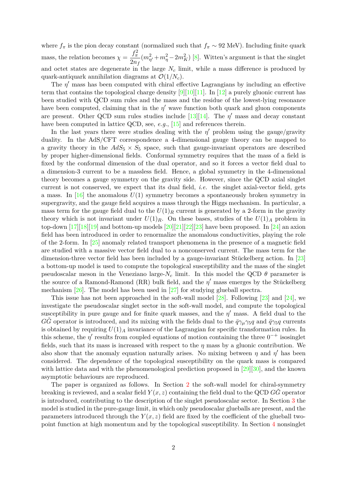where  $f_{\pi}$  is the pion decay constant (normalized such that  $f_{\pi} \sim 92$  MeV). Including finite quark mass, the relation becomes  $\chi = \frac{f_{\pi}^2}{2}$ 2*n<sup>f</sup>*  $(m_{\eta'}^2 + m_{\eta}^2 - 2m_K^2)$  [\[8\]](#page-13-0). Witten's argument is that the singlet and octet states are degenerate in the large  $N_c$  limit, while a mass difference is produced by quark-antiquark annihilation diagrams at  $\mathcal{O}(1/N_c)$ .

The  $\eta'$  mass has been computed with chiral effective Lagrangians by including an effective term that contains the topological charge density  $[9][10][11]$  $[9][10][11]$  $[9][10][11]$ . In  $[12]$  a purely gluonic current has been studied with QCD sum rules and the mass and the residue of the lowest-lying resonance have been computed, claiming that in the  $\eta'$  wave function both quark and gluon components are present. Other QCD sum rules studies include [\[13\]](#page-13-5)[\[14\]](#page-13-6). The  $\eta'$  mass and decay constant have been computed in lattice QCD, see, *e.g.*, [\[15\]](#page-13-7) and references therein.

In the last years there were studies dealing with the  $\eta'$  problem using the gauge/gravity duality. In the AdS/CFT correspondence a 4-dimensional gauge theory can be mapped to a gravity theory in the  $AdS_5 \times S_5$  space, such that gauge-invariant operators are described by proper higher-dimensional fields. Conformal symmetry requires that the mass of a field is fixed by the conformal dimension of the dual operator, and so it forces a vector field dual to a dimension-3 current to be a massless field. Hence, a global symmetry in the 4-dimensional theory becomes a gauge symmetry on the gravity side. However, since the QCD axial singlet current is not conserved, we expect that its dual field, *i.e.* the singlet axial-vector field, gets a mass. In  $[16]$  the anomalous  $U(1)$  symmetry becomes a spontaneously broken symmetry in supergravity, and the gauge field acquires a mass through the Higgs mechanism. In particular, a mass term for the gauge field dual to the  $U(1)_R$  current is generated by a 2-form in the gravity theory which is not invariant under  $U(1)_R$ . On these bases, studies of the  $U(1)_A$  problem in top-down  $[17][18][19]$  $[17][18][19]$  $[17][18][19]$  and bottom-up models  $[20][21][22][23]$  $[20][21][22][23]$  $[20][21][22][23]$  $[20][21][22][23]$  have been proposed. In  $[24]$  an axion field has been introduced in order to renormalize the anomalous conductivities, playing the role of the 2-form. In [\[25\]](#page-13-17) anomaly related transport phenomena in the presence of a magnetic field are studied with a massive vector field dual to a nonconserved current. The mass term for the dimension-three vector field has been included by a gauge-invariant Stückelberg action. In [\[23\]](#page-13-15) a bottom-up model is used to compute the topological susceptibility and the mass of the singlet pseudoscalar meson in the Veneziano large- $N_c$  limit. In this model the QCD  $\theta$  parameter is the source of a Ramond-Ramond (RR) bulk field, and the  $\eta'$  mass emerges by the Stückelberg mechanism [\[26\]](#page-13-18). The model has been used in [\[27\]](#page-13-19) for studying glueball spectra.

This issue has not been approached in the soft-wall model [\[28\]](#page-13-20). Following [\[23\]](#page-13-15) and [\[24\]](#page-13-16), we investigate the pseudoscalar singlet sector in the soft-wall model, and compute the topological susceptibility in pure gauge and for finite quark masses, and the  $\eta'$  mass. A field dual to the *GG* operator is introduced, and its mixing with the fields dual to the  $\bar{q}\gamma_{\mu}\gamma_{5}q$  and  $\bar{q}\gamma_{5}q$  currents is obtained by requiring  $U(1)_A$  invariance of the Lagrangian for specific transformation rules. In this scheme, the  $\eta'$  results from coupled equations of motion containing the three  $0^{-+}$  isosinglet fields, such that its mass is increased with respect to the  $\eta$  mass by a gluonic contribution. We also show that the anomaly equation naturally arises. No mixing between  $\eta$  and  $\eta'$  has been considered. The dependence of the topological susceptibility on the quark mass is compared with lattice data and with the phenomenological prediction proposed in [\[29\]](#page-14-0)[\[30\]](#page-14-1), and the known asymptotic behaviours are reproduced.

The paper is organized as follows. In Section [2](#page-2-0) the soft-wall model for chiral-symmetry breaking is reviewed, and a scalar field  $Y(x, z)$  containing the field dual to the QCD  $GG$  operator is introduced, contributing to the description of the singlet pseudoscalar sector. In Section [3](#page-4-0) the model is studied in the pure-gauge limit, in which only pseudoscalar glueballs are present, and the parameters introduced through the  $Y(x, z)$  field are fixed by the coefficient of the glueball twopoint function at high momentum and by the topological susceptibility. In Section [4](#page-6-0) nonsinglet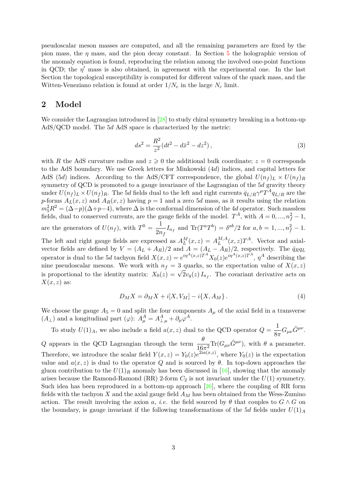pseudoscalar meson masses are computed, and all the remaining parameters are fixed by the pion mass, the *η* mass, and the pion decay constant. In Section [5](#page-7-0) the holographic version of the anomaly equation is found, reproducing the relation among the involved one-point functions in QCD; the  $\eta'$  mass is also obtained, in agreement with the experimental one. In the last Section the topological susceptibility is computed for different values of the quark mass, and the Witten-Veneziano relation is found at order  $1/N_c$  in the large  $N_c$  limit.

## <span id="page-2-0"></span>**2 Model**

We consider the Lagrangian introduced in [\[28\]](#page-13-20) to study chiral symmetry breaking in a bottom-up AdS/QCD model. The 5*d* AdS space is characterized by the metric:

$$
ds^2 = \frac{R^2}{z^2} (dt^2 - d\bar{x}^2 - dz^2),
$$
\n(3)

with *R* the AdS curvature radius and  $z \geq 0$  the additional bulk coordinate;  $z = 0$  corresponds to the AdS boundary. We use Greek letters for Minkowski (4*d*) indices, and capital letters for AdS (5*d*) indices. According to the AdS/CFT correspondence, the global  $U(n_f)_L \times U(n_f)_R$ symmetry of QCD is promoted to a gauge invariance of the Lagrangian of the 5*d* gravity theory under  $U(n_f)_L \times U(n_f)_R$ . The 5*d* fields dual to the left and right currents  $\bar{q}_{L/R} \gamma^{\mu} T^A q_{L/R}$  are the *p*-forms  $A_L(x, z)$  and  $A_R(x, z)$  having  $p = 1$  and a zero 5*d* mass, as it results using the relation  $m_5^2 R^2 = (\Delta - p)(\Delta + p - 4)$ , where  $\Delta$  is the conformal dimension of the 4*d* operator. Such massless fields, dual to conserved currents, are the gauge fields of the model.  $T^A$ , with  $A = 0, ..., n_f^2 - 1$ , are the generators of  $U(n_f)$ , with  $T^0 = \frac{1}{2m}$  $\frac{1}{2n_f}I_{n_f}$  and  $\text{Tr}(T^aT^b) = \delta^{ab}/2$  for  $a, b = 1, ..., n_f^2 - 1$ . The left and right gauge fields are expressed as  $A_L^M(x, z) = A_L^{M,A}$  $L^{M,A}(x, z)T^A$ . Vector and axialvector fields are defined by  $V = (A_L + A_R)/2$  and  $A = (A_L - A_R)/2$ , respectively. The  $\bar{q}_R q_L$ operator is dual to the 5*d* tachyon field  $X(x, z) = e^{i\eta^A(x, z)T^A} X_0(z)e^{i\eta^A(x, z)T^A}$ ,  $\eta^A$  describing the nine pseudoscalar mesons. We work with  $n_f = 3$  quarks, so the expectation value of  $X(x, z)$ is proportional to the identity matrix:  $X_0(z) = \sqrt{2}v_q(z) I_{n_f}$ . The covariant derivative acts on

*X*(*x, z*) as:

$$
D_M X = \partial_M X + i[X, V_M] - i\{X, A_M\}.
$$
\n<sup>(4)</sup>

We choose the gauge  $A_5 = 0$  and split the four components  $A_\mu$  of the axial field in a transverse  $(A_{\perp})$  and a longitudinal part  $(\varphi)$ :  $A_{\mu}^{A} = A_{\perp \mu}^{A} + \partial_{\mu} \varphi^{A}$ .

To study  $U(1)_A$ , we also include a field  $a(x, z)$  dual to the QCD operator  $Q = \frac{1}{2}$ .  $\frac{1}{8\pi}G_{\mu\nu}\tilde{G}^{\mu\nu}.$ *Q* appears in the QCD Lagrangian through the term  $\frac{\theta}{16\pi^2} \text{Tr}(G_{\mu\nu}\tilde{G}^{\mu\nu})$ , with *θ* a parameter. Therefore, we introduce the scalar field  $Y(x, z) = Y_0(z)e^{2ia(x, z)}$ , where  $Y_0(z)$  is the expectation value and  $a(x, z)$  is dual to the operator *Q* and is sourced by  $\theta$ . In top-down approaches the gluon contribution to the  $U(1)_R$  anomaly has been discussed in [\[16\]](#page-13-8), showing that the anomaly arises because the Ramond-Ramond (RR) 2-form  $C_2$  is not invariant under the  $U(1)$  symmetry. Such idea has been reproduced in a bottom-up approach [\[26\]](#page-13-18), where the coupling of RR form fields with the tachyon *X* and the axial gauge field *A<sup>M</sup>* has been obtained from the Wess-Zumino action. The result involving the axion *a*, *i.e.* the field sourced by  $\theta$  that couples to  $G \wedge G$  on the boundary, is gauge invariant if the following transformations of the 5*d* fields under  $U(1)_A$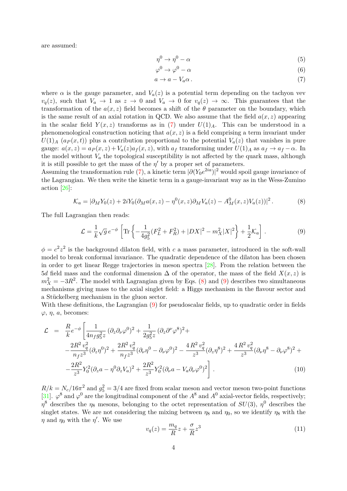are assumed:

$$
\eta^0 \to \eta^0 - \alpha \tag{5}
$$

<span id="page-3-0"></span>
$$
\varphi^0 \to \varphi^0 - \alpha \tag{6}
$$

$$
a \to a - V_a \alpha \,. \tag{7}
$$

where  $\alpha$  is the gauge parameter, and  $V_a(z)$  is a potential term depending on the tachyon vev  $v_q(z)$ , such that  $V_a \to 1$  as  $z \to 0$  and  $V_a \to 0$  for  $v_q(z) \to \infty$ . This guarantees that the transformation of the  $a(x, z)$  field becomes a shift of the  $\theta$  parameter on the boundary, which is the same result of an axial rotation in QCD. We also assume that the field  $a(x, z)$  appearing in the scalar field  $Y(x, z)$  transforms as in [\(7\)](#page-3-0) under  $U(1)_A$ . This can be understood in a phenomenological construction noticing that *a*(*x, z*) is a field comprising a term invariant under  $U(1)$ <sup>*A*</sup> ( $a<sub>P</sub>(x,t)$ ) plus a contribution proportional to the potential  $V<sub>a</sub>(z)$  that vanishes in pure gauge:  $a(x, z) = a_P(x, z) + V_a(z)a_f(x, z)$ , with  $a_f$  transforming under  $U(1)_A$  as  $a_f \rightarrow a_f - \alpha$ . In the model without  $V_a$  the topological susceptibility is not affected by the quark mass, although it is still possible to get the mass of the  $\eta'$  by a proper set of parameters.

Assuming the transformation rule [\(7\)](#page-3-0), a kinetic term  $|\partial (Y_0 e^{2ia})|^2$  would spoil gauge invariance of the Lagrangian. We then write the kinetic term in a gauge-invariant way as in the Wess-Zumino action [\[26\]](#page-13-18):

<span id="page-3-1"></span>
$$
\mathcal{K}_a = |\partial_M Y_0(z) + 2iY_0(\partial_M a(x, z) - \eta^0(x, z)\partial_M V_a(z) - A_M^0(x, z)V_a(z))|^2.
$$
 (8)

The full Lagrangian then reads:

<span id="page-3-2"></span>
$$
\mathcal{L} = \frac{1}{k} \sqrt{g} e^{-\phi} \left[ \text{Tr} \left\{ -\frac{1}{4g_5^2} (F_L^2 + F_R^2) + |DX|^2 - m_X^2 |X|^2 \right\} + \frac{1}{2} \mathcal{K}_a \right]. \tag{9}
$$

 $\phi = c^2 z^2$  is the background dilaton field, with *c* a mass parameter, introduced in the soft-wall model to break conformal invariance. The quadratic dependence of the dilaton has been chosen in order to get linear Regge trajectories in meson spectra [\[28\]](#page-13-20). From the relation between the 5*d* field mass and the conformal dimension  $\Delta$  of the operator, the mass of the field  $X(x, z)$  is  $m_X^2 = -3R^2$ . The model with Lagrangian given by Eqs. [\(8\)](#page-3-1) and [\(9\)](#page-3-2) describes two simultaneous mechanisms giving mass to the axial singlet field: a Higgs mechanism in the flavour sector and a Stückelberg mechanism in the gluon sector.

With these definitions, the Lagrangian [\(9\)](#page-3-2) for pseudoscalar fields, up to quadratic order in fields  $\varphi$ ,  $\eta$ ,  $a$ , becomes:

<span id="page-3-4"></span>
$$
\mathcal{L} = \frac{R}{k} e^{-\phi} \left[ \frac{1}{4n_f g_5^2 z} \left( \partial_z \partial_\nu \varphi^0 \right)^2 + \frac{1}{2g_5^2 z} \left( \partial_z \partial^\nu \varphi^8 \right)^2 + \right. \\ \left. - \frac{2R^2 v_q^2}{n_f z^3} \left( \partial_z \eta^0 \right)^2 + \frac{2R^2 v_q^2}{n_f z^3} \left( \partial_\nu \eta^0 - \partial_\nu \varphi^0 \right)^2 - \frac{4R^2 v_q^2}{z^3} \left( \partial_z \eta^8 \right)^2 + \frac{4R^2 v_q^2}{z^3} \left( \partial_\nu \eta^8 - \partial_\nu \varphi^8 \right)^2 + \right. \\ \left. - \frac{2R^2}{z^3} Y_0^2 \left( \partial_z a - \eta^0 \partial_z V_a \right)^2 + \frac{2R^2}{z^3} Y_0^2 \left( \partial_\nu a - V_a \partial_\nu \varphi^0 \right)^2 \right]. \tag{10}
$$

 $R/k = N_c/16\pi^2$  and  $g_5^2 = 3/4$  are fixed from scalar meson and vector meson two-point functions [\[31\]](#page-14-2).  $\varphi^8$  and  $\varphi^0$  are the longitudinal component of the  $A^8$  and  $A^0$  axial-vector fields, respectively; *η*<sup>8</sup> describes the *η*<sub>8</sub> mesons, belonging to the octet representation of *SU*(3), *η*<sup>0</sup> describes the singlet states. We are not considering the mixing between  $\eta_8$  and  $\eta_0$ , so we identify  $\eta_8$  with the *η* and *η*<sup>0</sup> with the *η*'. We use

<span id="page-3-3"></span>
$$
v_q(z) = \frac{m_q}{R}z + \frac{\sigma}{R}z^3\tag{11}
$$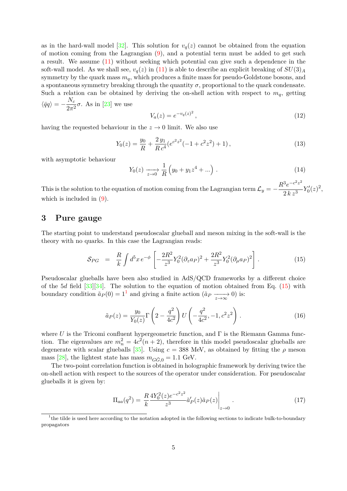as in the hard-wall model [\[32\]](#page-14-3). This solution for  $v_q(z)$  cannot be obtained from the equation of motion coming from the Lagrangian  $(9)$ , and a potential term must be added to get such a result. We assume [\(11\)](#page-3-3) without seeking which potential can give such a dependence in the soft-wall model. As we shall see,  $v_q(z)$  in [\(11\)](#page-3-3) is able to describe an explicit breaking of  $SU(3)_A$ symmetry by the quark mass  $m_q$ , which produces a finite mass for pseudo-Goldstone bosons, and a spontaneous symmetry breaking through the quantity  $\sigma$ , proportional to the quark condensate. Such a relation can be obtained by deriving the on-shell action with respect to  $m_q$ , getting  $\langle \bar{q}q \rangle = -\frac{N_c}{2\pi}$  $\frac{1}{2\pi^2}\sigma$ . As in [\[23\]](#page-13-15) we use

$$
V_a(z) = e^{-v_q(z)^2},\tag{12}
$$

having the requested behaviour in the  $z \to 0$  limit. We also use

$$
Y_0(z) = \frac{y_0}{R} + \frac{2y_1}{Rc^4} (e^{c^2 z^2} (-1 + c^2 z^2) + 1), \qquad (13)
$$

with asymptotic behaviour

$$
Y_0(z) \xrightarrow[z \to 0]{} \frac{1}{R} \left( y_0 + y_1 z^4 + \ldots \right) . \tag{14}
$$

This is the solution to the equation of motion coming from the Lagrangian term  $\mathcal{L}_y = -1$  $R^3 e^{-c^2 z^2}$  $\frac{e}{2\,k\,z^3}Y_0'(z)^2,$ which is included in  $(9)$ .

# <span id="page-4-0"></span>**3 Pure gauge**

The starting point to understand pseudoscalar glueball and meson mixing in the soft-wall is the theory with no quarks. In this case the Lagrangian reads:

<span id="page-4-1"></span>
$$
S_{PG} = \frac{R}{k} \int d^5 x \, e^{-\phi} \left[ -\frac{2R^2}{z^3} Y_0^2 (\partial_z a_P)^2 + \frac{2R^2}{z^3} Y_0^2 (\partial_\mu a_P)^2 \right]. \tag{15}
$$

Pseudoscalar glueballs have been also studied in AdS/QCD frameworks by a different choice of the 5*d* field [\[33\]](#page-14-4)[\[34\]](#page-14-5). The solution to the equation of motion obtained from Eq. [\(15\)](#page-4-1) with boundary condition  $\tilde{a}_P(0) = 1^1$  $\tilde{a}_P(0) = 1^1$  $\tilde{a}_P(0) = 1^1$  and giving a finite action  $(\tilde{a}_P \xrightarrow[z \to \infty]{} 0)$  is:

<span id="page-4-4"></span>
$$
\tilde{a}_P(z) = \frac{y_0}{Y_0(z)} \Gamma\left(2 - \frac{q^2}{4c^2}\right) U\left(-\frac{q^2}{4c^2}, -1, c^2 z^2\right). \tag{16}
$$

where  $U$  is the Tricomi confluent hypergeometric function, and  $\Gamma$  is the Riemann Gamma function. The eigenvalues are  $m_n^2 = 4c^2(n+2)$ , therefore in this model pseudoscalar glueballs are degenerate with scalar glueballs [\[35\]](#page-14-6). Using  $c = 388$  MeV, as obtained by fitting the  $\rho$  meson mass [\[28\]](#page-13-20), the lightest state has mass  $m_{G\tilde{G},0} = 1.1$  GeV.

The two-point correlation function is obtained in holographic framework by deriving twice the on-shell action with respect to the sources of the operator under consideration. For pseudoscalar glueballs it is given by:

<span id="page-4-3"></span>
$$
\Pi_{aa}(q^2) = \frac{R}{k} \frac{4Y_0^2(z)e^{-c^2z^2}}{z^3} \tilde{a}'_P(z)\tilde{a}_P(z)\Big|_{z \to 0}.
$$
\n(17)

<span id="page-4-2"></span><sup>&</sup>lt;sup>1</sup>the tilde is used here according to the notation adopted in the following sections to indicate bulk-to-boundary propagators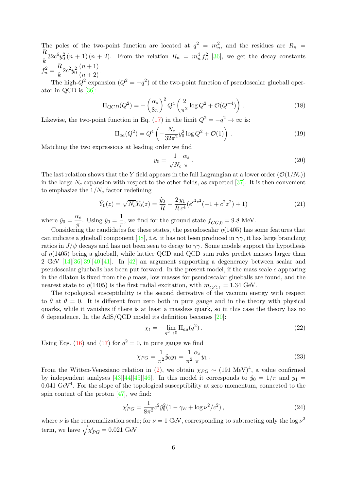The poles of the two-point function are located at  $q^2 = m_n^2$ , and the residues are  $R_n$ *R*  $\frac{h}{k}$  32*c*<sup>6</sup> $y_0^2$  (*n* + 1) (*n* + 2). From the relation  $R_n = m_n^4 f_n^2$  [\[36\]](#page-14-7), we get the decay constants  $f_n^2 = \frac{R}{l_n}$  $\frac{\mu}{k} 2c^2 y_0^2$  $\frac{(n+1)}{(n+2)}$ .

The high- $Q^2$  expansion  $(Q^2 = -q^2)$  of the two-point function of pseudoscalar glueball operator in QCD is [\[36\]](#page-14-7):

$$
\Pi_{QCD}(Q^2) = -\left(\frac{\alpha_s}{8\pi}\right)^2 Q^4 \left(\frac{2}{\pi^2} \log Q^2 + \mathcal{O}(Q^{-4})\right). \tag{18}
$$

Likewise, the two-point function in Eq. [\(17\)](#page-4-3) in the limit  $Q^2 = -q^2 \to \infty$  is:

$$
\Pi_{aa}(Q^2) = Q^4 \left( -\frac{N_c}{32\pi^2} y_0^2 \log Q^2 + \mathcal{O}(1) \right) . \tag{19}
$$

Matching the two expressions at leading order we find

$$
y_0 = \frac{1}{\sqrt{N_c}} \frac{\alpha_s}{\pi} \,. \tag{20}
$$

The last relation shows that the *Y* field appears in the full Lagrangian at a lower order  $(\mathcal{O}(1/N_c))$ in the large  $N_c$  expansion with respect to the other fields, as expected [\[37\]](#page-14-8). It is then convenient to emphasize the 1*/N<sup>c</sup>* factor redefining

$$
\hat{Y}_0(z) = \sqrt{N_c} Y_0(z) = \frac{\hat{y}_0}{R} + \frac{2 y_1}{R c^4} (e^{c^2 z^2} (-1 + c^2 z^2) + 1)
$$
\n(21)

where  $\hat{y}_0 = \frac{\alpha_s}{\sigma_s}$  $\frac{\alpha_s}{\pi}$ . Using  $\hat{y}_0 = \frac{1}{\pi}$  $\frac{1}{\pi}$ , we find for the ground state  $f_{G\tilde{G},0} = 9.8$  MeV.

Considering the candidates for these states, the pseudoscalar  $\eta$ (1405) has some features that can indicate a glueball component [\[38\]](#page-14-9), *i.e.* it has not been produced in  $\gamma\gamma$ , it has large branching ratios in *J/* $\psi$  decays and has not been seen to decay to  $\gamma\gamma$ . Some models support the hypothesis of *η*(1405) being a glueball, while lattice QCD and QCD sum rules predict masses larger than 2 GeV  $[14][36][39][40][41]$  $[14][36][39][40][41]$  $[14][36][39][40][41]$  $[14][36][39][40][41]$  $[14][36][39][40][41]$ . In  $[42]$  an argument supporting a degeneracy between scalar and pseudoscalar glueballs has been put forward. In the present model, if the mass scale *c* appearing in the dilaton is fixed from the  $\rho$  mass, low masses for pseudoscalar glueballs are found, and the nearest state to  $\eta(1405)$  is the first radial excitation, with  $m_{G\tilde{G},1} = 1.34$  GeV.

The topological susceptibility is the second derivative of the vacuum energy with respect to  $\theta$  at  $\theta = 0$ . It is different from zero both in pure gauge and in the theory with physical quarks, while it vanishes if there is at least a massless quark, so in this case the theory has no  $\theta$  dependence. In the AdS/QCD model its definition becomes [\[20\]](#page-13-12):

$$
\chi_t = -\lim_{q^2 \to 0} \Pi_{aa}(q^2). \tag{22}
$$

Using Eqs. [\(16\)](#page-4-4) and [\(17\)](#page-4-3) for  $q^2 = 0$ , in pure gauge we find

<span id="page-5-0"></span>
$$
\chi_{PG} = \frac{1}{\pi^2} \hat{y}_0 y_1 = \frac{1}{\pi^2} \frac{\alpha_s}{\pi} y_1 \,. \tag{23}
$$

From the Witten-Veneziano relation in [\(2\)](#page-0-0), we obtain  $\chi_{PG} \sim (191 \text{ MeV})^4$ , a value confirmed by independent analyses [\[43\]](#page-14-14)[\[44\]](#page-14-15)[\[45\]](#page-14-16)[\[46\]](#page-14-17). In this model it corresponds to  $\hat{y}_0 = 1/\pi$  and  $y_1 =$  $0.041 \text{ GeV}^4$ . For the slope of the topological susceptibility at zero momentum, connected to the spin content of the proton  $[47]$ , we find:

$$
\chi'_{PG} = \frac{1}{8\pi^2} c^2 \hat{y}_0^2 (1 - \gamma_E + \log \nu^2 / c^2),\tag{24}
$$

where *ν* is the renormalization scale; for  $\nu = 1$  GeV, corresponding to subtracting only the log  $\nu^2$ term, we have  $\sqrt{\chi'_{PG}} = 0.021$  GeV.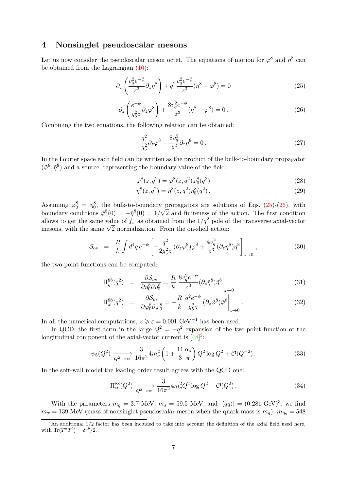# <span id="page-6-0"></span>**4 Nonsinglet pseudoscalar mesons**

Let us now consider the pseudoscalar meson octet. The equations of motion for  $\varphi^8$  and  $\eta^8$  can be obtained from the Lagrangian [\(10\)](#page-3-4):

<span id="page-6-1"></span>
$$
\partial_z \left( \frac{v_q^2 e^{-\phi}}{z^3} \partial_z \eta^8 \right) + q^2 \frac{v_q^2 e^{-\phi}}{z^3} (\eta^8 - \varphi^8) = 0 \tag{25}
$$

<span id="page-6-2"></span>
$$
\partial_z \left( \frac{e^{-\phi}}{g_5^2 z} \partial_z \varphi^8 \right) + \frac{8v_q^2 e^{-\phi}}{z^3} (\eta^8 - \varphi^8) = 0. \tag{26}
$$

Combining the two equations, the following relation can be obtained:

$$
\frac{q^2}{g_5^2}\partial_z\varphi^8 - \frac{8v_q^2}{z^2}\partial_z\eta^8 = 0.
$$
\n(27)

In the Fourier space each field can be written as the product of the bulk-to-boundary propagator  $(\tilde{\varphi}^8, \tilde{\eta}^8)$  and a source, representing the boundary value of the field:

$$
\varphi^{8}(z, q^{2}) = \tilde{\varphi}^{8}(z, q^{2})\varphi_{0}^{8}(q^{2})
$$
\n(28)

$$
\eta^{8}(z, q^{2}) = \tilde{\eta}^{8}(z, q^{2})\eta_{0}^{8}(q^{2}).
$$
\n(29)

Assuming  $\varphi_0^8 = \eta_0^8$ , the bulk-to-boundary propagators are solutions of Eqs. [\(25\)](#page-6-1)-[\(26\)](#page-6-2), with boundary conditions  $\tilde{\varphi}^8(0) = -\tilde{\eta}^8(0) = 1/$ √ 2 and finiteness of the action. The first condition allows to get the same value of  $f_{\pi}$  as obtained from the  $1/q^2$  pole of the transverse axial-vector allows to get the same value of  $J_{\pi}$  as obtained from the  $1/q^-$  pole of mesons, with the same  $\sqrt{2}$  normalization. From the on-shell action:

$$
S_{os} = \frac{R}{k} \int d^4q \, e^{-\phi} \left[ -\frac{q^2}{2g_5^2 z} \left( \partial_z \varphi^8 \right) \varphi^8 + \frac{4v_q^2}{z^3} \left( \partial_z \eta^8 \right) \eta^8 \right]_{z \to 0}, \tag{30}
$$

the two-point functions can be computed:

$$
\Pi_{\eta}^{88}(q^2) = \frac{\partial S_{os}}{\partial \eta_0^8 \partial \eta_0^8} = \frac{R}{k} \frac{8v_q^2 e^{-\phi}}{z^3} (\partial_z \tilde{\eta}^8) \tilde{\eta}^8 \bigg|_{z \to 0}
$$
\n(31)

$$
\Pi_{\varphi}^{88}(q^2) = \frac{\partial S_{os}}{\partial \varphi_0^8 \partial \varphi_0^8} = -\frac{R}{k} \frac{q^2 e^{-\phi}}{g_5^2 z} (\partial_z \tilde{\varphi}^8) \tilde{\varphi}^8 \bigg|_{z \to 0}.
$$
\n(32)

In all the numerical computations,  $z \geqslant \varepsilon = 0.001 \text{ GeV}^{-1}$  has been used.

In QCD, the first term in the large  $Q^2 = -q^2$  expansion of the two-point function of the longitudinal component of the axial-vector current is  $[48]^2$  $[48]^2$  $[48]^2$ :

$$
\psi_5(Q^2) \xrightarrow[Q^2 \to \infty]{} \frac{3}{16\pi^2} 4m_q^2 \left(1 + \frac{11}{3} \frac{\alpha_s}{\pi}\right) Q^2 \log Q^2 + \mathcal{O}(Q^{-2}).\tag{33}
$$

In the soft-wall model the leading order result agrees with the QCD one:

$$
\Pi_{\varphi}^{88}(Q^2) \xrightarrow[Q^2 \to \infty]{} \frac{3}{16\pi^2} 4m_q^2 Q^2 \log Q^2 + \mathcal{O}(Q^2).
$$
 (34)

With the parameters  $m_q = 3.7$  MeV,  $m_s = 59.5$  MeV, and  $|\langle \bar{q}q \rangle| = (0.281 \text{ GeV})^3$ , we find  $m_{\pi} = 139$  MeV (mass of nonsinglet pseudoscalar meson when the quark mass is  $m_q$ ),  $m_{\eta s} = 548$ 

<span id="page-6-3"></span><sup>&</sup>lt;sup>2</sup>An additional 1/2 factor has been included to take into account the definition of the axial field used here, with  $\text{Tr}(T^a T^b) = \delta^{ab}/2.$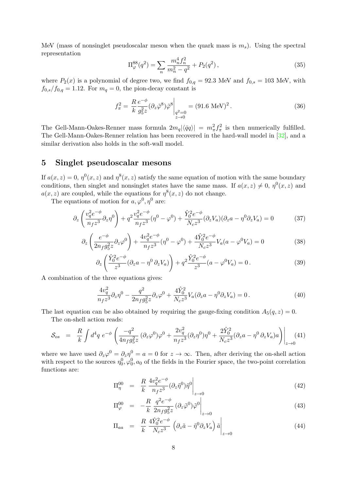MeV (mass of nonsinglet pseudoscalar meson when the quark mass is  $m<sub>s</sub>$ ). Using the spectral representation

$$
\Pi_{\varphi}^{88}(q^2) = \sum_{n} \frac{m_n^4 f_n^2}{m_n^2 - q^2} + P_2(q^2) \,, \tag{35}
$$

where  $P_2(x)$  is a polynomial of degree two, we find  $f_{0,q} = 92.3$  MeV and  $f_{0,s} = 103$  MeV, with  $f_{0,s}/f_{0,q} = 1.12$ . For  $m_q = 0$ , the pion-decay constant is

<span id="page-7-5"></span>
$$
f_{\pi}^{2} = \frac{R}{k} \frac{e^{-\phi}}{g_{5}^{2} z} (\partial_{z} \tilde{\varphi}^{8}) \tilde{\varphi}^{8} \bigg|_{\substack{q^{2}=0 \\ z \to 0}} = (91.6 \text{ MeV})^{2}.
$$
 (36)

The Gell-Mann-Oakes-Renner mass formula  $2m_q |\langle \bar{q}q \rangle| = m_\pi^2 f_\pi^2$  is then numerically fulfilled. The Gell-Mann-Oakes-Renner relation has been recovered in the hard-wall model in [\[32\]](#page-14-3), and a similar derivation also holds in the soft-wall model.

# <span id="page-7-0"></span>**5 Singlet pseudoscalar mesons**

If  $a(x, z) = 0$ ,  $\eta^0(x, z)$  and  $\eta^8(x, z)$  satisfy the same equation of motion with the same boundary conditions, then singlet and nonsinglet states have the same mass. If  $a(x, z) \neq 0$ ,  $\eta^0(x, z)$  and  $a(x, z)$  are coupled, while the equations for  $\eta^8(x, z)$  do not change.

The equations of motion for  $a, \varphi^0, \eta^0$  are:

<span id="page-7-1"></span>
$$
\partial_z \left( \frac{v_q^2 e^{-\phi}}{n_f z^3} \partial_z \eta^0 \right) + q^2 \frac{v_q^2 e^{-\phi}}{n_f z^3} (\eta^0 - \varphi^0) + \frac{\hat{Y}_0^2 e^{-\phi}}{N_c z^3} (\partial_z V_a)(\partial_z a - \eta^0 \partial_z V_a) = 0 \tag{37}
$$

$$
\partial_z \left( \frac{e^{-\phi}}{2n_f g_5^2 z} \partial_z \varphi^0 \right) + \frac{4v_q^2 e^{-\phi}}{n_f z^3} (\eta^0 - \varphi^0) + \frac{4\hat{Y}_0^2 e^{-\phi}}{N_c z^3} V_a (a - \varphi^0 V_a) = 0 \tag{38}
$$

<span id="page-7-2"></span>
$$
\partial_z \left( \frac{\hat{Y}_0^2 e^{-\phi}}{z^3} (\partial_z a - \eta^0 \partial_z V_a) \right) + q^2 \frac{\hat{Y}_0^2 e^{-\phi}}{z^3} (a - \varphi^0 V_a) = 0. \tag{39}
$$

A combination of the three equations gives:

<span id="page-7-3"></span>
$$
\frac{4v_q^2}{n_f z^3} \partial_z \eta^0 - \frac{q^2}{2n_f g_5^2 z} \partial_z \varphi^0 + \frac{4\hat{Y}_0^2}{N_c z^3} V_a (\partial_z a - \eta^0 \partial_z V_a) = 0 \,. \tag{40}
$$

The last equation can be also obtained by requiring the gauge-fixing condition  $A_5(q, z) = 0$ .

The on-shell action reads:

$$
S_{os} = \frac{R}{k} \int d^4q \ e^{-\phi} \left( \frac{-q^2}{4n_f g_5^2 z} \left( \partial_z \varphi^0 \right) \varphi^0 + \frac{2v_q^2}{n_f z^3} \left( \partial_z \eta^0 \right) \eta^0 + \frac{2\hat{Y}_0^2}{N_c z^3} \left( \partial_z a - \eta^0 \partial_z V_a \right) a \right) \Big|_{z \to 0} (41)
$$

where we have used  $\partial_z \varphi^0 = \partial_z \eta^0 = a = 0$  for  $z \to \infty$ . Then, after deriving the on-shell action with respect to the sources  $\eta_0^0, \varphi_0^0, a_0$  of the fields in the Fourier space, the two-point correlation functions are:

<span id="page-7-4"></span>
$$
\Pi_{\eta}^{00} = \frac{R}{k} \frac{4v_q^2 e^{-\phi}}{n_f z^3} (\partial_z \tilde{\eta}^0) \tilde{\eta}^0 \bigg|_{z \to 0} \tag{42}
$$

$$
\Pi_{\varphi}^{00} = -\frac{R}{k} \frac{q^2 e^{-\phi}}{2n_f g_5^2 z} (\partial_z \tilde{\varphi}^0) \tilde{\varphi}^0 \bigg|_{z \to 0}
$$
\n(43)

$$
\Pi_{aa} = \frac{R}{k} \frac{4\hat{Y}_0^2 e^{-\phi}}{N_c z^3} \left( \partial_z \tilde{a} - \tilde{\eta}^0 \partial_z V_a \right) \tilde{a} \bigg|_{z \to 0} \tag{44}
$$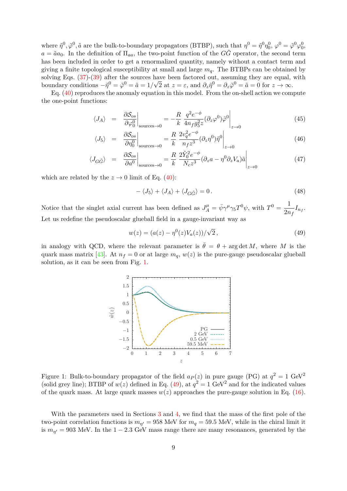where  $\tilde{\eta}^0$ ,  $\tilde{\varphi}^0$ ,  $\tilde{a}$  are the bulk-to-boundary propagators (BTBP), such that  $\eta^0 = \tilde{\eta}^0 \eta_0^0$ ,  $\varphi^0 = \tilde{\varphi}^0 \varphi_0^0$ ,  $a = \tilde{a}a_0$ . In the definition of  $\Pi_{aa}$ , the two-point function of the  $G\tilde{G}$  operator, the second term has been included in order to get a renormalized quantity, namely without a contact term and giving a finite topological susceptibility at small and large  $m_q$ . The BTBPs can be obtained by solving Eqs.  $(37)-(39)$  $(37)-(39)$  $(37)-(39)$  after the sources have been factored out, assuming they are equal, with boundary conditions  $-\tilde{\eta}^0 = \tilde{\varphi}^0 = \tilde{a} = 1/\sqrt{2}$  at  $z = \varepsilon$ , and  $\partial_z \tilde{\eta}^0 = \partial_z \tilde{\varphi}^0 = \tilde{a} = 0$  for  $z \to \infty$ .

Eq. [\(40\)](#page-7-3) reproduces the anomaly equation in this model. From the on-shell action we compute the one-point functions:

$$
\langle J_A \rangle = \left. \frac{\partial S_{os}}{\partial \varphi_0^0} \right|_{\text{sources} \to 0} = -\frac{R}{k} \left. \frac{q^2 e^{-\phi}}{4 n_f g_5^2 z} (\partial_z \varphi^0) \tilde{\varphi}^0 \right|_{z \to 0} \tag{45}
$$

$$
\langle J_5 \rangle = \left. \frac{\partial S_{os}}{\partial \eta_0^0} \right|_{\text{sources} \to 0} = \frac{R}{k} \left. \frac{2v_q^2 e^{-\phi}}{n_f z^3} (\partial_z \eta^0) \tilde{\eta}^0 \right|_{z \to 0}
$$
(46)

$$
\langle J_{G\tilde{G}} \rangle = \left. \frac{\partial S_{os}}{\partial a^0} \right|_{\text{sources} \to 0} = \frac{R}{k} \left. \frac{2\hat{Y}_0^2 e^{-\phi}}{N_c z^3} (\partial_z a - \eta^0 \partial_z V_a) \tilde{a} \right|_{z \to 0}
$$
(47)

which are related by the  $z \to 0$  limit of Eq. [\(40\)](#page-7-3):

$$
-\langle J_5 \rangle + \langle J_A \rangle + \langle J_{G\tilde{G}} \rangle = 0. \tag{48}
$$

Notice that the singlet axial current has been defined as  $J_A^{\mu} = \bar{\psi} \gamma^{\mu} \gamma_5 T^0 \psi$ , with  $T^0 = \frac{1}{2\pi}$  $rac{1}{2n_f}I_{n_f}$ . Let us redefine the pseudoscalar glueball field in a gauge-invariant way as

<span id="page-8-1"></span>
$$
w(z) = (a(z) - \eta^{0}(z)V_{a}(z))/\sqrt{2},
$$
\n(49)

in analogy with QCD, where the relevant parameter is  $\bar{\theta} = \theta + \arg \det M$ , where M is the quark mass matrix [\[43\]](#page-14-14). At  $n_f = 0$  or at large  $m_q$ ,  $w(z)$  is the pure-gauge pseudoscalar glueball solution, as it can be seen from Fig. [1.](#page-8-0)



<span id="page-8-0"></span>Figure 1: Bulk-to-boundary propagator of the field  $a_P(z)$  in pure gauge (PG) at  $q^2 = 1 \text{ GeV}^2$ (solid grey line); BTBP of  $w(z)$  defined in Eq. [\(49\)](#page-8-1), at  $q^2 = 1$  GeV<sup>2</sup> and for the indicated values of the quark mass. At large quark masses  $w(z)$  approaches the pure-gauge solution in Eq. [\(16\)](#page-4-4).

With the parameters used in Sections [3](#page-4-0) and [4,](#page-6-0) we find that the mass of the first pole of the two-point correlation functions is  $m_{\eta'} = 958$  MeV for  $m_q = 59.5$  MeV, while in the chiral limit it is  $m_{\eta'} = 903$  MeV. In the 1 – 2.3 GeV mass range there are many resonances, generated by the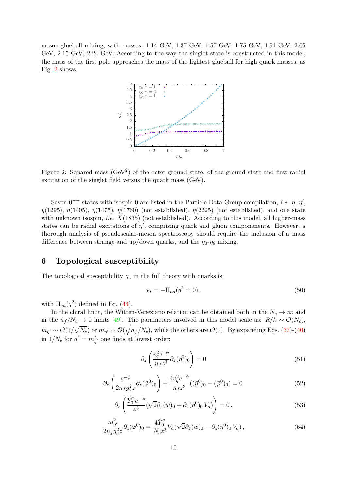meson-glueball mixing, with masses: 1.14 GeV, 1.37 GeV, 1.57 GeV, 1.75 GeV, 1.91 GeV, 2.05 GeV, 2.15 GeV, 2.24 GeV. According to the way the singlet state is constructed in this model, the mass of the first pole approaches the mass of the lightest glueball for high quark masses, as Fig. [2](#page-9-0) shows.



<span id="page-9-0"></span>Figure 2: Squared mass  $(GeV^2)$  of the octet ground state, of the ground state and first radial excitation of the singlet field versus the quark mass (GeV).

Seven  $0^{-+}$  states with isospin 0 are listed in the Particle Data Group compilation, *i.e. η*, *η'*, *η*(1295), *η*(1405), *η*(1475), *η*(1760) (not established), *η*(2225) (not established), and one state with unknown isospin, *i.e.*  $X(1835)$  (not established). According to this model, all higher-mass states can be radial excitations of  $\eta'$ , comprising quark and gluon componenents. However, a thorough analysis of pseudoscalar-meson spectroscopy should require the inclusion of a mass difference between strange and up/down quarks, and the  $\eta_0$ - $\eta_8$  mixing.

# **6 Topological susceptibility**

The topological susceptibility  $\chi_t$  in the full theory with quarks is:

<span id="page-9-1"></span>
$$
\chi_t = -\Pi_{aa}(q^2 = 0),\tag{50}
$$

with  $\Pi_{aa}(q^2)$  defined in Eq. [\(44\)](#page-7-4).

In the chiral limit, the Witten-Veneziano relation can be obtained both in the  $N_c \to \infty$  and in the  $n_f/N_c$  → 0 limits [\[49\]](#page-15-2). The parameters involved in this model scale as:  $R/k \sim \mathcal{O}(N_c)$ ,  $m_{\eta'} \sim \mathcal{O}(1/\sqrt{N_c})$  or  $m_{\eta'} \sim \mathcal{O}(\sqrt{n_f/N_c})$ , while the others are  $\mathcal{O}(1)$ . By expanding Eqs. [\(37\)](#page-7-1)-[\(40\)](#page-7-3) in  $1/N_c$  for  $q^2 = m_{\eta'}^2$  one finds at lowest order:

$$
\partial_z \left( \frac{v_q^2 e^{-\phi}}{n_f z^3} \partial_z (\tilde{\eta}^0)_0 \right) = 0 \tag{51}
$$

$$
\partial_z \left( \frac{e^{-\phi}}{2n_f g_5^2 z} \partial_z(\tilde{\varphi}^0)_0 \right) + \frac{4v_q^2 e^{-\phi}}{n_f z^3} ((\tilde{\eta}^0)_0 - (\tilde{\varphi}^0)_0) = 0 \tag{52}
$$

$$
\partial_z \left( \frac{\hat{Y}_0^2 e^{-\phi}}{z^3} (\sqrt{2} \partial_z (\tilde{w})_0 + \partial_z (\tilde{\eta}^0)_0 V_a) \right) = 0. \tag{53}
$$

$$
\frac{m_{\eta'}^2}{2n_f g_5^2 z} \partial_z(\tilde{\varphi}^0)_0 = \frac{4\hat{Y}_0^2}{N_c z^3} V_a(\sqrt{2}\partial_z(\tilde{w})_0 - \partial_z(\tilde{\eta}^0)_0 V_a) ,\qquad (54)
$$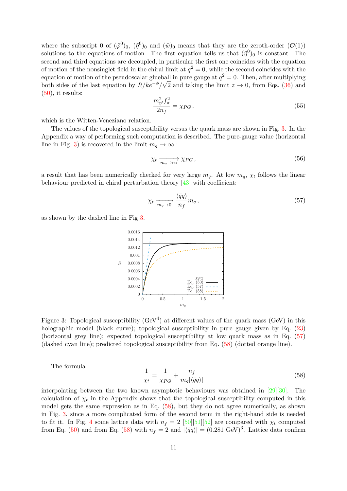where the subscript 0 of  $({\tilde{\varphi}}^0)_0$ ,  $({\tilde{\eta}}^0)_0$  and  $({\tilde{w}})_0$  means that they are the zeroth-order  $(\mathcal{O}(1))$ solutions to the equations of motion. The first equation tells us that  $(\tilde{\eta}^0)_0$  is constant. The second and third equations are decoupled, in particular the first one coincides with the equation of motion of the nonsinglet field in the chiral limit at  $q^2 = 0$ , while the second coincides with the equation of motion of the pseudoscalar glueball in pure gauge at  $q^2 = 0$ . Then, after multiplying both sides of the last equation by  $R/ke^{-\phi}/\sqrt{2}$  and taking the limit  $z \to 0$ , from Eqs. [\(36\)](#page-7-5) and  $(50)$ , it results:

$$
\frac{m_{\eta'}^2 f_\pi^2}{2n_f} = \chi_{PG} \,. \tag{55}
$$

which is the Witten-Veneziano relation.

The values of the topological susceptibility versus the quark mass are shown in Fig. [3.](#page-10-0) In the Appendix a way of performing such computation is described. The pure-gauge value (horizontal line in Fig. [3\)](#page-10-0) is recovered in the limit  $m_q \to \infty$ :

$$
\chi_t \xrightarrow[m_q \to \infty]{} \chi_{PG} \,, \tag{56}
$$

a result that has been numerically checked for very large  $m_q$ . At low  $m_q$ ,  $\chi_t$  follows the linear behaviour predicted in chiral perturbation theory [\[43\]](#page-14-14) with coefficient:

<span id="page-10-1"></span>
$$
\chi_t \xrightarrow[m_q \to 0]{} \frac{\langle \bar{q}q \rangle}{n_f} m_q \,, \tag{57}
$$

as shown by the dashed line in Fig [3.](#page-10-0)



<span id="page-10-0"></span>Figure 3: Topological susceptibility  $(GeV^4)$  at different values of the quark mass  $(GeV)$  in this holographic model (black curve); topological susceptibility in pure gauge given by Eq.  $(23)$ (horizontal grey line); expected topological susceptibility at low quark mass as in Eq. [\(57\)](#page-10-1) (dashed cyan line); predicted topological susceptibility from Eq. [\(58\)](#page-10-2) (dotted orange line).

The formula

<span id="page-10-2"></span>
$$
\frac{1}{\chi_t} = \frac{1}{\chi_{PG}} + \frac{n_f}{m_q |\langle \bar{q}q \rangle|} \tag{58}
$$

interpolating between the two known asymptotic behaviours was obtained in [\[29\]](#page-14-0)[\[30\]](#page-14-1). The calculation of  $\chi_t$  in the Appendix shows that the topological susceptibility computed in this model gets the same expression as in Eq. [\(58\)](#page-10-2), but they do not agree numerically, as shown in Fig. [3,](#page-10-0) since a more complicated form of the second term in the right-hand side is needed to fit it. In Fig. [4](#page-11-0) some lattice data with  $n_f = 2$  [\[50\]](#page-15-3)[\[51\]](#page-15-4)[\[52\]](#page-15-5) are compared with  $\chi_t$  computed from Eq. [\(50\)](#page-9-1) and from Eq. [\(58\)](#page-10-2) with  $n_f = 2$  and  $|\langle \bar{q}q \rangle| = (0.281 \text{ GeV})^3$ . Lattice data confirm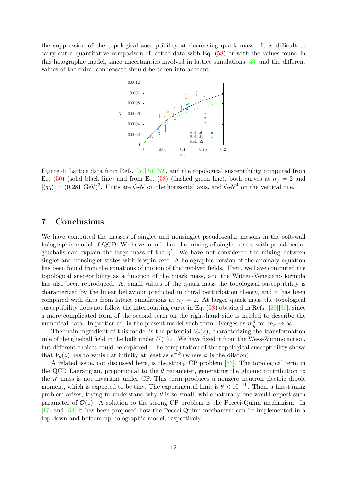the suppression of the topological susceptibility at decreasing quark mass. It is difficult to carry out a quantitative comparison of lattice data with Eq. [\(58\)](#page-10-2) or with the values found in this holographic model, since uncertainties involved in lattice simulations [\[43\]](#page-14-14) and the different values of the chiral condensate should be taken into account.



<span id="page-11-0"></span>Figure 4: Lattice data from Refs. [\[50\]](#page-15-3)[\[51\]](#page-15-4)[\[52\]](#page-15-5), and the topological susceptibility computed from Eq. [\(50\)](#page-9-1) (solid black line) and from Eq. [\(58\)](#page-10-2) (dashed green line), both curves at  $n_f = 2$  and  $|\langle \bar{q}q \rangle| = (0.281 \text{ GeV})^3$ . Units are GeV on the horizontal axis, and GeV<sup>4</sup> on the vertical one.

## **7 Conclusions**

We have computed the masses of singlet and nonsinglet pseudoscalar mesons in the soft-wall holographic model of QCD. We have found that the mixing of singlet states with pseudoscalar glueballs can explain the large mass of the  $\eta'$ . We have not considered the mixing between singlet and nonsinglet states with isospin zero. A holographic version of the anomaly equation has been found from the equations of motion of the involved fields. Then, we have computed the topological susceptibility as a function of the quark mass, and the Witten-Veneziano formula has also been reproduced. At small values of the quark mass the topological susceptibility is characterized by the linear behaviour predicted in chiral perturbation theory, and it has been compared with data from lattice simulations at  $n_f = 2$ . At larger quark mass the topological susceptibility does not follow the interpolating curve in Eq.  $(58)$  obtained in Refs. [\[29\]](#page-14-0)[\[30\]](#page-14-1), since a more complicated form of the second term on the right-hand side is needed to describe the numerical data. In particular, in the present model such term diverges as  $m_q^4$  for  $m_q \to \infty$ .

The main ingredient of this model is the potential  $V_a(z)$ , characterizing the transformation rule of the glueball field in the bulk under  $U(1)_A$ . We have fixed it from the Wess-Zumino action, but different choices could be explored. The computation of the topological susceptibility shows that  $V_a(z)$  has to vanish at infinity at least as  $e^{-\phi}$  (where  $\phi$  is the dilaton).

A related issue, not discussed here, is the strong CP problem [\[53\]](#page-15-6). The topological term in the QCD Lagrangian, proportional to the  $\theta$  parameter, generating the gluonic contribution to the  $\eta'$  mass is not invariant under CP. This term produces a nonzero neutron electric dipole moment, which is expected to be tiny. The experimental limit is  $\theta < 10^{-10}$ . Then, a fine-tuning problem arises, trying to understand why  $\theta$  is so small, while naturally one would expect such parameter of  $\mathcal{O}(1)$ . A solution to the strong CP problem is the Peccei-Quinn mechanism. In [\[17\]](#page-13-9) and [\[54\]](#page-15-7) it has been proposed how the Peccei-Quinn mechanism can be implemented in a top-down and bottom-up holographic model, respectively.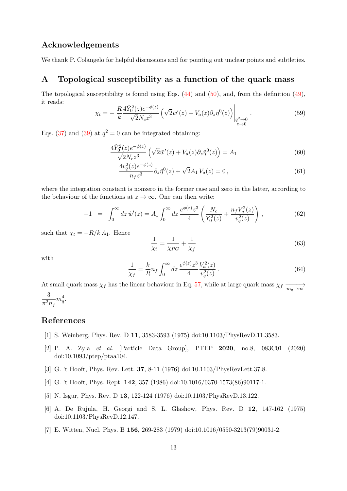# **Acknowledgements**

We thank P. Colangelo for helpful discussions and for pointing out unclear points and subtleties.

# **A Topological susceptibility as a function of the quark mass**

The topological susceptibility is found using Eqs.  $(44)$  and  $(50)$ , and, from the definition  $(49)$ , it reads:  $\lambda$ <sup>2</sup> −*φ*(*z*)

$$
\chi_t = -\frac{R}{k} \frac{4\hat{Y}_0^2(z)e^{-\phi(z)}}{\sqrt{2}N_c z^3} \left( \sqrt{2}\tilde{w}'(z) + V_a(z)\partial_z \tilde{\eta}^0(z) \right) \Big|_{\substack{q^2 \to 0 \\ z \to 0}}.
$$
\n(59)

Eqs. [\(37\)](#page-7-1) and [\(39\)](#page-7-2) at  $q^2 = 0$  can be integrated obtaining:

$$
\frac{4\hat{Y}_0^2(z)e^{-\phi(z)}}{\sqrt{2}N_c z^3} \left(\sqrt{2}\tilde{w}'(z) + V_a(z)\partial_z \tilde{\eta}^0(z)\right) = A_1\tag{60}
$$

$$
\frac{4v_q^2(z)e^{-\phi(z)}}{n_f z^3} \partial_z \tilde{\eta}^0(z) + \sqrt{2}A_1 V_a(z) = 0, \qquad (61)
$$

where the integration constant is nonzero in the former case and zero in the latter, according to the behaviour of the functions at  $z \to \infty$ . One can then write:

$$
-1 = \int_0^\infty dz \, \tilde{w}'(z) = A_1 \int_0^\infty dz \, \frac{e^{\phi(z)} z^3}{4} \left( \frac{N_c}{Y_0^2(z)} + \frac{n_f V_a^2(z)}{v_q^2(z)} \right), \tag{62}
$$

such that  $\chi_t = -R/k A_1$ . Hence

$$
\frac{1}{\chi_t} = \frac{1}{\chi_{PG}} + \frac{1}{\chi_f} \tag{63}
$$

with

$$
\frac{1}{\chi_f} = \frac{k}{R} n_f \int_0^\infty dz \, \frac{e^{\phi(z)} z^3}{4} \frac{V_a^2(z)}{v_q^2(z)} \,. \tag{64}
$$

At small quark mass  $\chi_f$  has the linear behaviour in Eq. [57,](#page-10-1) while at large quark mass  $\chi_f \xrightarrow[m_q \to \infty]{}$ 3  $\pi^2 n_f$  $m_q^4$ .

## **References**

- <span id="page-12-0"></span>[1] S. Weinberg, Phys. Rev. D **11**, 3583-3593 (1975) doi:10.1103/PhysRevD.11.3583.
- <span id="page-12-1"></span>[2] P. A. Zyla *et al.* [Particle Data Group], PTEP **2020**, no.8, 083C01 (2020) doi:10.1093/ptep/ptaa104.
- <span id="page-12-2"></span>[3] G. 't Hooft, Phys. Rev. Lett. **37**, 8-11 (1976) doi:10.1103/PhysRevLett.37.8.
- <span id="page-12-3"></span>[4] G. 't Hooft, Phys. Rept. **142**, 357 (1986) doi:10.1016/0370-1573(86)90117-1.
- <span id="page-12-4"></span>[5] N. Isgur, Phys. Rev. D **13**, 122-124 (1976) doi:10.1103/PhysRevD.13.122.
- <span id="page-12-5"></span>[6] A. De Rujula, H. Georgi and S. L. Glashow, Phys. Rev. D **12**, 147-162 (1975) doi:10.1103/PhysRevD.12.147.
- <span id="page-12-6"></span>[7] E. Witten, Nucl. Phys. B **156**, 269-283 (1979) doi:10.1016/0550-3213(79)90031-2.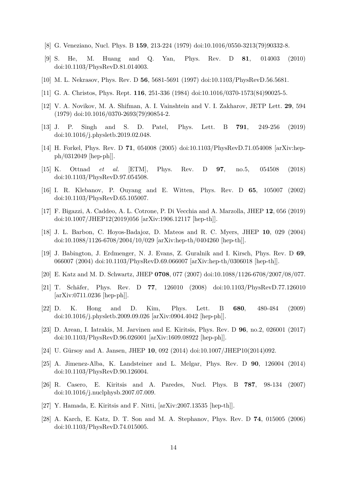- <span id="page-13-0"></span>[8] G. Veneziano, Nucl. Phys. B **159**, 213-224 (1979) doi:10.1016/0550-3213(79)90332-8.
- <span id="page-13-1"></span>[9] S. He, M. Huang and Q. Yan, Phys. Rev. D **81**, 014003 (2010) doi:10.1103/PhysRevD.81.014003.
- <span id="page-13-2"></span>[10] M. L. Nekrasov, Phys. Rev. D **56**, 5681-5691 (1997) doi:10.1103/PhysRevD.56.5681.
- <span id="page-13-3"></span>[11] G. A. Christos, Phys. Rept. **116**, 251-336 (1984) doi:10.1016/0370-1573(84)90025-5.
- <span id="page-13-4"></span>[12] V. A. Novikov, M. A. Shifman, A. I. Vainshtein and V. I. Zakharov, JETP Lett. **29**, 594 (1979) doi:10.1016/0370-2693(79)90854-2.
- <span id="page-13-5"></span>[13] J. P. Singh and S. D. Patel, Phys. Lett. B **791**, 249-256 (2019) doi:10.1016/j.physletb.2019.02.048.
- <span id="page-13-6"></span>[14] H. Forkel, Phys. Rev. D **71**, 054008 (2005) doi:10.1103/PhysRevD.71.054008 [arXiv:hepph/0312049 [hep-ph]].
- <span id="page-13-7"></span>[15] K. Ottnad *et al.* [ETM], Phys. Rev. D **97**, no.5, 054508 (2018) doi:10.1103/PhysRevD.97.054508.
- <span id="page-13-8"></span>[16] I. R. Klebanov, P. Ouyang and E. Witten, Phys. Rev. D **65**, 105007 (2002) doi:10.1103/PhysRevD.65.105007.
- <span id="page-13-9"></span>[17] F. Bigazzi, A. Caddeo, A. L. Cotrone, P. Di Vecchia and A. Marzolla, JHEP **12**, 056 (2019) doi:10.1007/JHEP12(2019)056 [arXiv:1906.12117 [hep-th]].
- <span id="page-13-10"></span>[18] J. L. Barbon, C. Hoyos-Badajoz, D. Mateos and R. C. Myers, JHEP **10**, 029 (2004) doi:10.1088/1126-6708/2004/10/029 [arXiv:hep-th/0404260 [hep-th]].
- <span id="page-13-11"></span>[19] J. Babington, J. Erdmenger, N. J. Evans, Z. Guralnik and I. Kirsch, Phys. Rev. D **69**, 066007 (2004) doi:10.1103/PhysRevD.69.066007 [arXiv:hep-th/0306018 [hep-th]].
- <span id="page-13-12"></span>[20] E. Katz and M. D. Schwartz, JHEP **0708**, 077 (2007) doi:10.1088/1126-6708/2007/08/077.
- <span id="page-13-13"></span>[21] T. Schäfer, Phys. Rev. D **77**, 126010 (2008) doi:10.1103/PhysRevD.77.126010 [arXiv:0711.0236 [hep-ph]].
- <span id="page-13-14"></span>[22] D. K. Hong and D. Kim, Phys. Lett. B **680**, 480-484 (2009) doi:10.1016/j.physletb.2009.09.026 [arXiv:0904.4042 [hep-ph]].
- <span id="page-13-15"></span>[23] D. Arean, I. Iatrakis, M. Jarvinen and E. Kiritsis, Phys. Rev. D **96**, no.2, 026001 (2017) doi:10.1103/PhysRevD.96.026001 [arXiv:1609.08922 [hep-ph]].
- <span id="page-13-16"></span>[24] U. Gürsoy and A. Jansen, JHEP **10**, 092 (2014) doi:10.1007/JHEP10(2014)092.
- <span id="page-13-17"></span>[25] A. Jimenez-Alba, K. Landsteiner and L. Melgar, Phys. Rev. D **90**, 126004 (2014) doi:10.1103/PhysRevD.90.126004.
- <span id="page-13-18"></span>[26] R. Casero, E. Kiritsis and A. Paredes, Nucl. Phys. B **787**, 98-134 (2007) doi:10.1016/j.nuclphysb.2007.07.009.
- <span id="page-13-19"></span>[27] Y. Hamada, E. Kiritsis and F. Nitti, [arXiv:2007.13535 [hep-th]].
- <span id="page-13-20"></span>[28] A. Karch, E. Katz, D. T. Son and M. A. Stephanov, Phys. Rev. D **74**, 015005 (2006) doi:10.1103/PhysRevD.74.015005.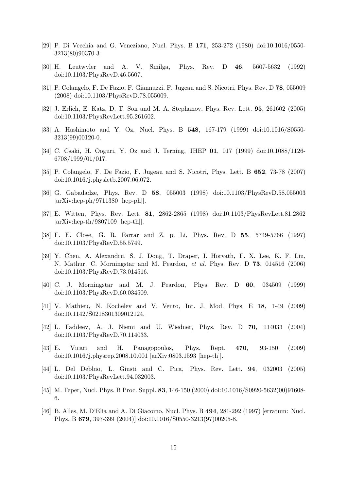- <span id="page-14-0"></span>[29] P. Di Vecchia and G. Veneziano, Nucl. Phys. B **171**, 253-272 (1980) doi:10.1016/0550- 3213(80)90370-3.
- <span id="page-14-1"></span>[30] H. Leutwyler and A. V. Smilga, Phys. Rev. D **46**, 5607-5632 (1992) doi:10.1103/PhysRevD.46.5607.
- <span id="page-14-2"></span>[31] P. Colangelo, F. De Fazio, F. Giannuzzi, F. Jugeau and S. Nicotri, Phys. Rev. D **78**, 055009 (2008) doi:10.1103/PhysRevD.78.055009.
- <span id="page-14-3"></span>[32] J. Erlich, E. Katz, D. T. Son and M. A. Stephanov, Phys. Rev. Lett. **95**, 261602 (2005) doi:10.1103/PhysRevLett.95.261602.
- <span id="page-14-4"></span>[33] A. Hashimoto and Y. Oz, Nucl. Phys. B **548**, 167-179 (1999) doi:10.1016/S0550- 3213(99)00120-0.
- <span id="page-14-5"></span>[34] C. Csaki, H. Ooguri, Y. Oz and J. Terning, JHEP **01**, 017 (1999) doi:10.1088/1126- 6708/1999/01/017.
- <span id="page-14-6"></span>[35] P. Colangelo, F. De Fazio, F. Jugeau and S. Nicotri, Phys. Lett. B **652**, 73-78 (2007) doi:10.1016/j.physletb.2007.06.072.
- <span id="page-14-7"></span>[36] G. Gabadadze, Phys. Rev. D **58**, 055003 (1998) doi:10.1103/PhysRevD.58.055003 [arXiv:hep-ph/9711380 [hep-ph]].
- <span id="page-14-8"></span>[37] E. Witten, Phys. Rev. Lett. **81**, 2862-2865 (1998) doi:10.1103/PhysRevLett.81.2862 [arXiv:hep-th/9807109 [hep-th]].
- <span id="page-14-9"></span>[38] F. E. Close, G. R. Farrar and Z. p. Li, Phys. Rev. D **55**, 5749-5766 (1997) doi:10.1103/PhysRevD.55.5749.
- <span id="page-14-10"></span>[39] Y. Chen, A. Alexandru, S. J. Dong, T. Draper, I. Horvath, F. X. Lee, K. F. Liu, N. Mathur, C. Morningstar and M. Peardon, *et al.* Phys. Rev. D **73**, 014516 (2006) doi:10.1103/PhysRevD.73.014516.
- <span id="page-14-11"></span>[40] C. J. Morningstar and M. J. Peardon, Phys. Rev. D **60**, 034509 (1999) doi:10.1103/PhysRevD.60.034509.
- <span id="page-14-12"></span>[41] V. Mathieu, N. Kochelev and V. Vento, Int. J. Mod. Phys. E **18**, 1-49 (2009) doi:10.1142/S0218301309012124.
- <span id="page-14-13"></span>[42] L. Faddeev, A. J. Niemi and U. Wiedner, Phys. Rev. D **70**, 114033 (2004) doi:10.1103/PhysRevD.70.114033.
- <span id="page-14-14"></span>[43] E. Vicari and H. Panagopoulos, Phys. Rept. **470**, 93-150 (2009) doi:10.1016/j.physrep.2008.10.001 [arXiv:0803.1593 [hep-th]].
- <span id="page-14-15"></span>[44] L. Del Debbio, L. Giusti and C. Pica, Phys. Rev. Lett. **94**, 032003 (2005) doi:10.1103/PhysRevLett.94.032003.
- <span id="page-14-16"></span>[45] M. Teper, Nucl. Phys. B Proc. Suppl. **83**, 146-150 (2000) doi:10.1016/S0920-5632(00)91608- 6.
- <span id="page-14-17"></span>[46] B. Alles, M. D'Elia and A. Di Giacomo, Nucl. Phys. B **494**, 281-292 (1997) [erratum: Nucl. Phys. B **679**, 397-399 (2004)] doi:10.1016/S0550-3213(97)00205-8.